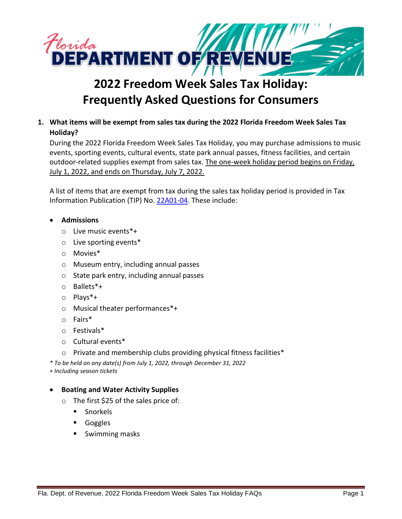

# **2022 Freedom Week Sales Tax Holiday: Frequently Asked Questions for Consumers**

# **1. What items will be exempt from sales tax during the 2022 Florida Freedom Week Sales Tax Holiday?**

During the 2022 Florida Freedom Week Sales Tax Holiday, you may purchase admissions to music events, sporting events, cultural events, state park annual passes, fitness facilities, and certain outdoor-related supplies exempt from sales tax. The one-week holiday period begins on Friday, July 1, 2022, and ends on Thursday, July 7, 2022.

A list of items that are exempt from tax during the sales tax holiday period is provided in Tax Information Publication (TIP) No[. 22A01-04.](https://floridarevenue.com/taxes/tips/Documents/TIP_22A01-04.pdf) These include:

- **Admissions**
	- o Live music events\*+
	- o Live sporting events\*
	- o Movies\*
	- o Museum entry, including annual passes
	- o State park entry, including annual passes
	- o Ballets\*+
	- o Plays\*+
	- o Musical theater performances\*+
	- o Fairs\*
	- o Festivals\*
	- o Cultural events\*
	- $\circ$  Private and membership clubs providing physical fitness facilities\*
- *\* To be held on any date(s) from July 1, 2022, through December 31, 2022*
- *+ Including season tickets*

# • **Boating and Water Activity Supplies**

- o The first \$25 of the sales price of:
	- Snorkels
	- Goggles
	- Swimming masks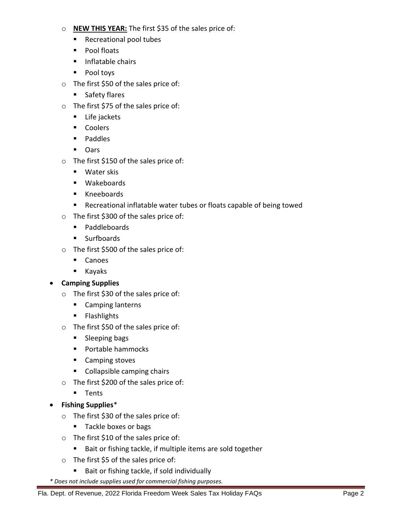# o **NEW THIS YEAR:** The first \$35 of the sales price of:

- Recreational pool tubes
- Pool floats
- Inflatable chairs
- Pool toys
- o The first \$50 of the sales price of:
	- Safety flares
- o The first \$75 of the sales price of:
	- Life jackets
	- Coolers
	- Paddles
	- Oars
- o The first \$150 of the sales price of:
	- Water skis
	- Wakeboards
	- Kneeboards
	- Recreational inflatable water tubes or floats capable of being towed
- o The first \$300 of the sales price of:
	- Paddleboards
	- Surfboards
- o The first \$500 of the sales price of:
	- Canoes
	- Kayaks

# • **Camping Supplies**

- o The first \$30 of the sales price of:
	- Camping lanterns
	- Flashlights
- o The first \$50 of the sales price of:
	- Sleeping bags
	- Portable hammocks
	- Camping stoves
	- Collapsible camping chairs
- o The first \$200 of the sales price of:
	- Tents
- **Fishing Supplies**\*
	- o The first \$30 of the sales price of:
		- Tackle boxes or bags
	- o The first \$10 of the sales price of:
		- Bait or fishing tackle, if multiple items are sold together
	- o The first \$5 of the sales price of:
		- Bait or fishing tackle, if sold individually
- *\* Does not include supplies used for commercial fishing purposes.*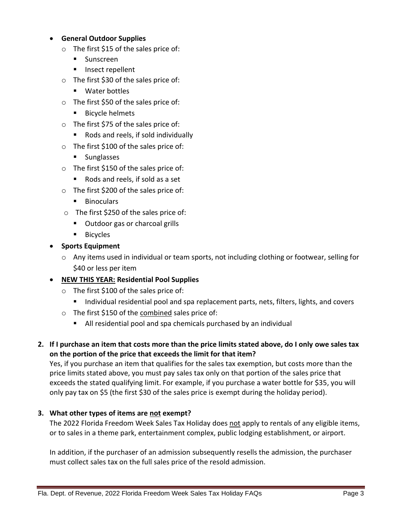#### • **General Outdoor Supplies**

- o The first \$15 of the sales price of:
	- Sunscreen
	- Insect repellent
- o The first \$30 of the sales price of:
	- Water bottles
- o The first \$50 of the sales price of:
	- Bicycle helmets
- o The first \$75 of the sales price of:
	- Rods and reels, if sold individually
- o The first \$100 of the sales price of:
	- Sunglasses
- o The first \$150 of the sales price of:
	- Rods and reels, if sold as a set
- o The first \$200 of the sales price of:
	- Binoculars
- o The first \$250 of the sales price of:
	- Outdoor gas or charcoal grills
	- Bicycles
- **Sports Equipment**
	- $\circ$  Any items used in individual or team sports, not including clothing or footwear, selling for \$40 or less per item
- **NEW THIS YEAR: Residential Pool Supplies**
	- o The first \$100 of the sales price of:
		- Individual residential pool and spa replacement parts, nets, filters, lights, and covers
	- o The first \$150 of the combined sales price of:
		- All residential pool and spa chemicals purchased by an individual
- **2. If I purchase an item that costs more than the price limits stated above, do I only owe sales tax on the portion of the price that exceeds the limit for that item?**

Yes, if you purchase an item that qualifies for the sales tax exemption, but costs more than the price limits stated above, you must pay sales tax only on that portion of the sales price that exceeds the stated qualifying limit. For example, if you purchase a water bottle for \$35, you will only pay tax on \$5 (the first \$30 of the sales price is exempt during the holiday period).

# **3. What other types of items are not exempt?**

The 2022 Florida Freedom Week Sales Tax Holiday does not apply to rentals of any eligible items, or to sales in a theme park, entertainment complex, public lodging establishment, or airport.

In addition, if the purchaser of an admission subsequently resells the admission, the purchaser must collect sales tax on the full sales price of the resold admission.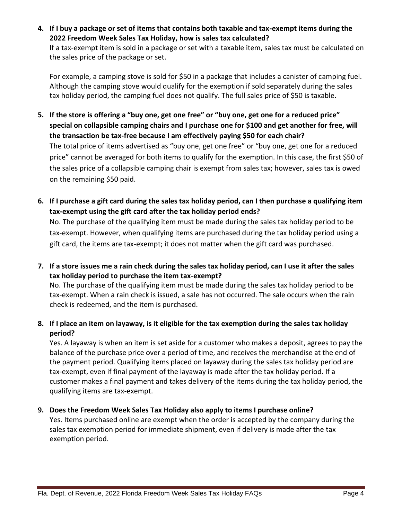**4. If I buy a package or set of items that contains both taxable and tax-exempt items during the 2022 Freedom Week Sales Tax Holiday, how is sales tax calculated?** If a tax-exempt item is sold in a package or set with a taxable item, sales tax must be calculated on the sales price of the package or set.

For example, a camping stove is sold for \$50 in a package that includes a canister of camping fuel. Although the camping stove would qualify for the exemption if sold separately during the sales tax holiday period, the camping fuel does not qualify. The full sales price of \$50 is taxable.

- **5. If the store is offering a "buy one, get one free" or "buy one, get one for a reduced price" special on collapsible camping chairs and I purchase one for \$100 and get another for free, will the transaction be tax-free because I am effectively paying \$50 for each chair?** The total price of items advertised as "buy one, get one free" or "buy one, get one for a reduced price" cannot be averaged for both items to qualify for the exemption. In this case, the first \$50 of the sales price of a collapsible camping chair is exempt from sales tax; however, sales tax is owed on the remaining \$50 paid.
- **6. If I purchase a gift card during the sales tax holiday period, can I then purchase a qualifying item tax-exempt using the gift card after the tax holiday period ends?**

No. The purchase of the qualifying item must be made during the sales tax holiday period to be tax-exempt. However, when qualifying items are purchased during the tax holiday period using a gift card, the items are tax-exempt; it does not matter when the gift card was purchased.

**7. If a store issues me a rain check during the sales tax holiday period, can I use it after the sales tax holiday period to purchase the item tax-exempt?**

No. The purchase of the qualifying item must be made during the sales tax holiday period to be tax-exempt. When a rain check is issued, a sale has not occurred. The sale occurs when the rain check is redeemed, and the item is purchased.

# **8. If I place an item on layaway, is it eligible for the tax exemption during the sales tax holiday period?**

Yes. A layaway is when an item is set aside for a customer who makes a deposit, agrees to pay the balance of the purchase price over a period of time, and receives the merchandise at the end of the payment period. Qualifying items placed on layaway during the sales tax holiday period are tax-exempt, even if final payment of the layaway is made after the tax holiday period. If a customer makes a final payment and takes delivery of the items during the tax holiday period, the qualifying items are tax-exempt.

# **9. Does the Freedom Week Sales Tax Holiday also apply to items I purchase online?**

Yes. Items purchased online are exempt when the order is accepted by the company during the sales tax exemption period for immediate shipment, even if delivery is made after the tax exemption period.